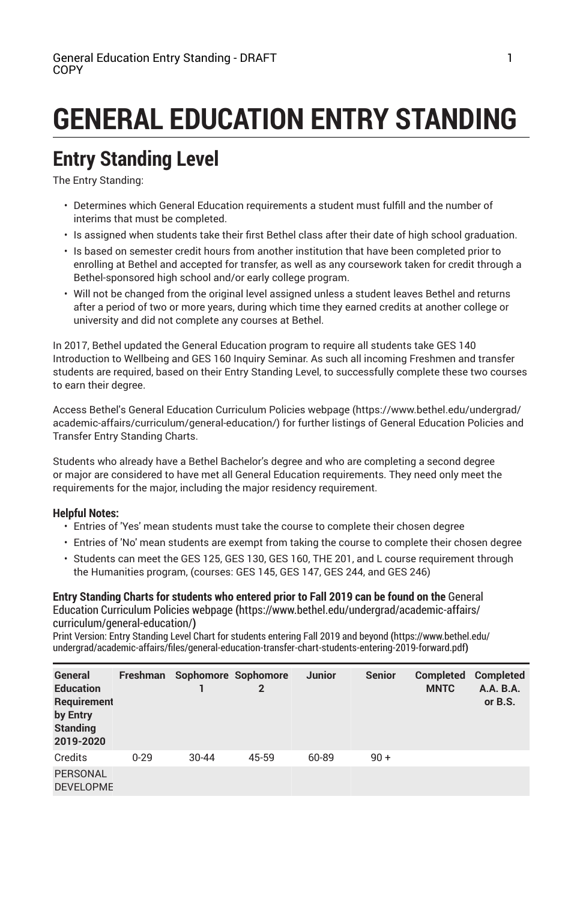# **GENERAL EDUCATION ENTRY STANDING**

## **Entry Standing Level**

The Entry Standing:

- Determines which General Education requirements a student must fulfill and the number of interims that must be completed.
- Is assigned when students take their first Bethel class after their date of high school graduation.
- Is based on semester credit hours from another institution that have been completed prior to enrolling at Bethel and accepted for transfer, as well as any coursework taken for credit through a Bethel-sponsored high school and/or early college program.
- Will not be changed from the original level assigned unless a student leaves Bethel and returns after a period of two or more years, during which time they earned credits at another college or university and did not complete any courses at Bethel.

In 2017, Bethel updated the General Education program to require all students take GES 140 Introduction to Wellbeing and GES 160 Inquiry Seminar. As such all incoming Freshmen and transfer students are required, based on their Entry Standing Level, to successfully complete these two courses to earn their degree.

Access Bethel's General Education Curriculum Policies webpage (https://www.bethel.edu/undergrad/ academic-affairs/curriculum/general-education/) for further listings of General Education Policies and Transfer Entry Standing Charts.

Students who already have a Bethel Bachelor's degree and who are completing a second degree or major are considered to have met all General Education requirements. They need only meet the requirements for the major, including the major residency requirement.

#### **Helpful Notes:**

- Entries of 'Yes' mean students must take the course to complete their chosen degree
- Entries of 'No' mean students are exempt from taking the course to complete their chosen degree
- Students can meet the GES 125, GES 130, GES 160, THE 201, and L course requirement through the Humanities program, (courses: GES 145, GES 147, GES 244, and GES 246)

**Entry Standing Charts for students who entered prior to Fall 2019 can be found on the** General Education Curriculum Policies webpage **(**https://www.bethel.edu/undergrad/academic-affairs/ curriculum/general-education/**)**

Print Version: Entry Standing Level Chart for students entering Fall 2019 and beyond **(**https://www.bethel.edu/ undergrad/academic-affairs/files/general-education-transfer-chart-students-entering-2019-forward.pdf**)**

| General<br><b>Education</b><br>Requirement<br>by Entry<br><b>Standing</b><br>2019-2020 | Freshman | Sophomore Sophomore | $\mathbf{2}$ | <b>Junior</b> | <b>Senior</b> | Completed<br><b>MNTC</b> | Completed<br>A.A. B.A.<br>or B.S. |
|----------------------------------------------------------------------------------------|----------|---------------------|--------------|---------------|---------------|--------------------------|-----------------------------------|
| Credits                                                                                | $0 - 29$ | $30 - 44$           | 45-59        | 60-89         | $90 +$        |                          |                                   |
| <b>PERSONAL</b><br><b>DEVELOPME</b>                                                    |          |                     |              |               |               |                          |                                   |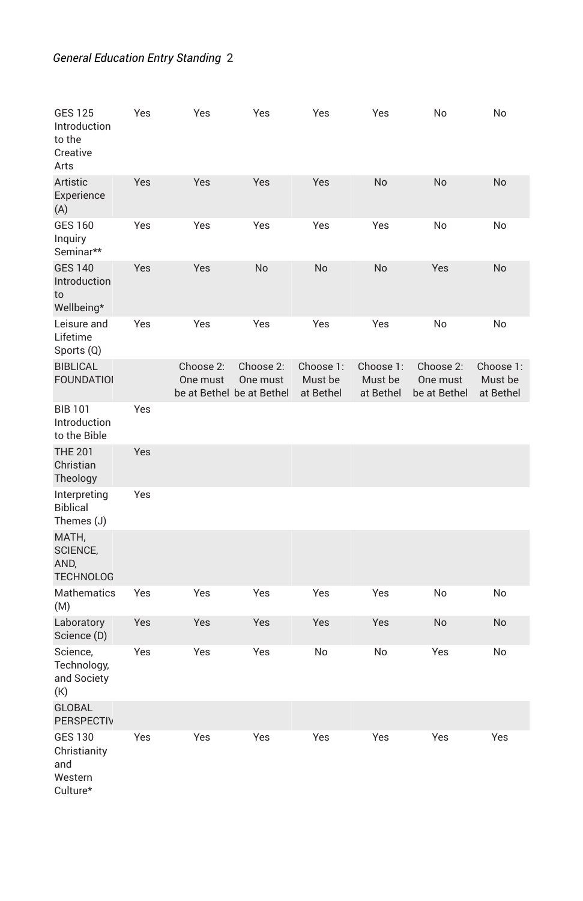### *General Education Entry Standing* 2

| <b>GES 125</b><br>Introduction<br>to the<br>Creative<br>Arts | Yes | Yes                                                | Yes                   | Yes                               | Yes                               | No                                    | No                                |
|--------------------------------------------------------------|-----|----------------------------------------------------|-----------------------|-----------------------------------|-----------------------------------|---------------------------------------|-----------------------------------|
| Artistic<br>Experience<br>(A)                                | Yes | Yes                                                | Yes                   | Yes                               | No                                | No                                    | <b>No</b>                         |
| <b>GES 160</b><br>Inquiry<br>Seminar**                       | Yes | Yes                                                | Yes                   | Yes                               | Yes                               | No                                    | No                                |
| <b>GES 140</b><br>Introduction<br>to<br>Wellbeing*           | Yes | Yes                                                | No                    | No                                | No                                | Yes                                   | No                                |
| Leisure and<br>Lifetime<br>Sports (Q)                        | Yes | Yes                                                | Yes                   | Yes                               | Yes                               | No                                    | No                                |
| <b>BIBLICAL</b><br><b>FOUNDATIOI</b>                         |     | Choose 2:<br>One must<br>be at Bethel be at Bethel | Choose 2:<br>One must | Choose 1:<br>Must be<br>at Bethel | Choose 1:<br>Must be<br>at Bethel | Choose 2:<br>One must<br>be at Bethel | Choose 1:<br>Must be<br>at Bethel |
| <b>BIB 101</b><br>Introduction<br>to the Bible               | Yes |                                                    |                       |                                   |                                   |                                       |                                   |
| <b>THE 201</b><br>Christian<br>Theology                      | Yes |                                                    |                       |                                   |                                   |                                       |                                   |
| Interpreting<br><b>Biblical</b><br>Themes (J)                | Yes |                                                    |                       |                                   |                                   |                                       |                                   |
| MATH,<br>SCIENCE,<br>AND,<br><b>TECHNOLOG</b>                |     |                                                    |                       |                                   |                                   |                                       |                                   |
| <b>Mathematics</b><br>(M)                                    | Yes | Yes                                                | Yes                   | Yes                               | Yes                               | No                                    | No                                |
| Laboratory<br>Science (D)                                    | Yes | Yes                                                | Yes                   | Yes                               | Yes                               | No                                    | No                                |
| Science,<br>Technology,<br>and Society<br>(K)                | Yes | Yes                                                | Yes                   | No                                | No                                | Yes                                   | No                                |
| <b>GLOBAL</b><br>PERSPECTIV                                  |     |                                                    |                       |                                   |                                   |                                       |                                   |
| <b>GES 130</b><br>Christianity<br>and<br>Western<br>Culture* | Yes | Yes                                                | Yes                   | Yes                               | Yes                               | Yes                                   | Yes                               |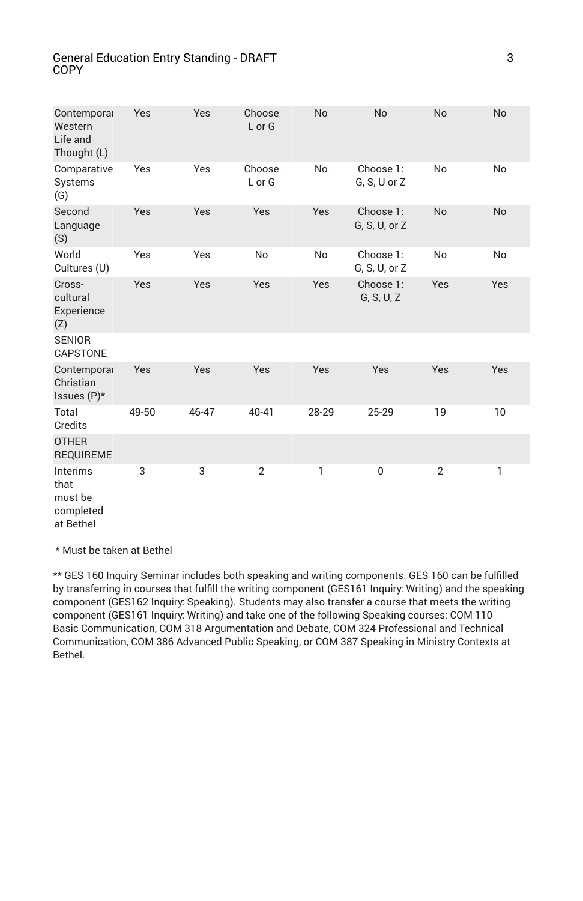#### General Education Entry Standing - DRAFT COPY

| Contemporal<br>Western<br>Life and<br>Thought (L)            | Yes   | Yes   | Choose<br>L or G | <b>No</b> | <b>No</b>                  | <b>No</b>      | <b>No</b> |
|--------------------------------------------------------------|-------|-------|------------------|-----------|----------------------------|----------------|-----------|
| Comparative<br>Systems<br>(G)                                | Yes   | Yes   | Choose<br>L or G | No        | Choose 1:<br>G, S, U or Z  | No             | No        |
| Second<br>Language<br>(S)                                    | Yes   | Yes   | Yes              | Yes       | Choose 1:<br>G, S, U, or Z | <b>No</b>      | <b>No</b> |
| World<br>Cultures (U)                                        | Yes   | Yes   | No               | No        | Choose 1:<br>G, S, U, or Z | No             | No        |
| Cross-<br>cultural<br>Experience<br>(Z)                      | Yes   | Yes   | Yes              | Yes       | Choose 1:<br>G, S, U, Z    | Yes            | Yes       |
| <b>SENIOR</b><br><b>CAPSTONE</b>                             |       |       |                  |           |                            |                |           |
| Contemporal<br>Christian<br>Issues $(P)^*$                   | Yes   | Yes   | Yes              | Yes       | Yes                        | Yes            | Yes       |
| Total<br>Credits                                             | 49-50 | 46-47 | 40-41            | 28-29     | 25-29                      | 19             | 10        |
| <b>OTHER</b><br><b>REQUIREME</b>                             |       |       |                  |           |                            |                |           |
| <b>Interims</b><br>that<br>must be<br>completed<br>at Bethel | 3     | 3     | $\overline{2}$   | 1         | $\mathbf 0$                | $\overline{2}$ | 1         |

\* Must be taken at Bethel

\*\* GES 160 Inquiry Seminar includes both speaking and writing components. GES 160 can be fulfilled by transferring in courses that fulfill the writing component (GES161 Inquiry: Writing) and the speaking component (GES162 Inquiry: Speaking). Students may also transfer a course that meets the writing component (GES161 Inquiry: Writing) and take one of the following Speaking courses: COM 110 Basic Communication, COM 318 Argumentation and Debate, COM 324 Professional and Technical Communication, COM 386 Advanced Public Speaking, or COM 387 Speaking in Ministry Contexts at Bethel.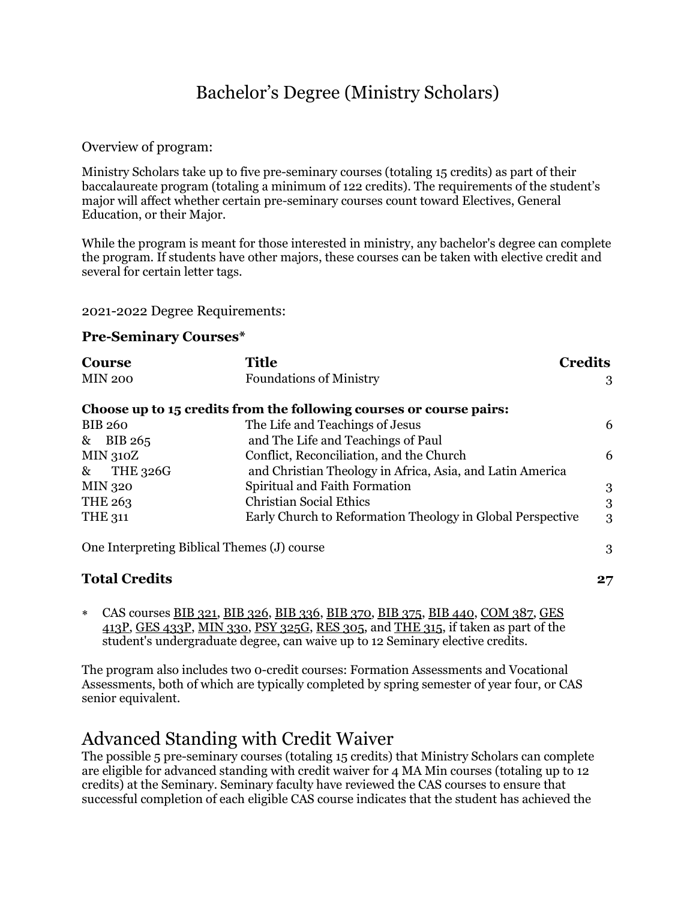## Bachelor's Degree (Ministry Scholars)

Overview of program:

Ministry Scholars take up to five pre-seminary courses (totaling 15 credits) as part of their baccalaureate program (totaling a minimum of 122 credits). The requirements of the student's major will affect whether certain pre-seminary courses count toward Electives, General Education, or their Major.

While the program is meant for those interested in ministry, any bachelor's degree can complete the program. If students have other majors, these courses can be taken with elective credit and several for certain letter tags.

2021-2022 Degree Requirements:

### **Pre-Seminary Courses\***

| <b>Course</b>   |                                                  | <b>Title</b>                                                        | <b>Credits</b> |  |
|-----------------|--------------------------------------------------|---------------------------------------------------------------------|----------------|--|
|                 | <b>MIN 200</b><br><b>Foundations of Ministry</b> |                                                                     |                |  |
|                 |                                                  | Choose up to 15 credits from the following courses or course pairs: |                |  |
| <b>BIB 260</b>  |                                                  | The Life and Teachings of Jesus                                     | 6              |  |
| $&$ BIB 265     |                                                  | and The Life and Teachings of Paul                                  |                |  |
| <b>MIN 310Z</b> |                                                  | Conflict, Reconciliation, and the Church                            | 6              |  |
| $\&$            | THE 326G                                         | and Christian Theology in Africa, Asia, and Latin America           |                |  |
| <b>MIN 320</b>  |                                                  | Spiritual and Faith Formation                                       | 3              |  |
| THE 263         |                                                  | <b>Christian Social Ethics</b>                                      | 3              |  |
| <b>THE 311</b>  |                                                  | Early Church to Reformation Theology in Global Perspective          | 3              |  |
|                 |                                                  | One Interpreting Biblical Themes (J) course                         | 3              |  |

### **Total Credits** 27

 CAS courses BIB [321,](https://catalog-next.bethel.edu/search/?P=BIB%20321) BIB [326,](https://catalog-next.bethel.edu/search/?P=BIB%20326) BIB [336,](https://catalog-next.bethel.edu/search/?P=BIB%20336) BIB [370,](https://catalog-next.bethel.edu/search/?P=BIB%20370) BIB [375,](https://catalog-next.bethel.edu/search/?P=BIB%20375) BIB [440,](https://catalog-next.bethel.edu/search/?P=BIB%20440) [COM](https://catalog-next.bethel.edu/search/?P=COM%20387) 387, [GES](https://catalog-next.bethel.edu/search/?P=GES%20413P) [413P,](https://catalog-next.bethel.edu/search/?P=GES%20413P) GES [433P,](https://catalog-next.bethel.edu/search/?P=GES%20433P) [MIN](https://catalog-next.bethel.edu/search/?P=MIN%20330) 330, PSY [325G,](https://catalog-next.bethel.edu/search/?P=PSY%20325G) RES [305,](https://catalog-next.bethel.edu/search/?P=RES%20305) and [THE](https://catalog-next.bethel.edu/search/?P=THE%20315) 315, if taken as part of the student's undergraduate degree, can waive up to 12 Seminary elective credits.

The program also includes two 0-credit courses: Formation Assessments and Vocational Assessments, both of which are typically completed by spring semester of year four, or CAS senior equivalent.

## Advanced Standing with Credit Waiver

The possible 5 pre-seminary courses (totaling 15 credits) that Ministry Scholars can complete are eligible for advanced standing with credit waiver for 4 MA Min courses (totaling up to 12 credits) at the Seminary. Seminary faculty have reviewed the CAS courses to ensure that successful completion of each eligible CAS course indicates that the student has achieved the